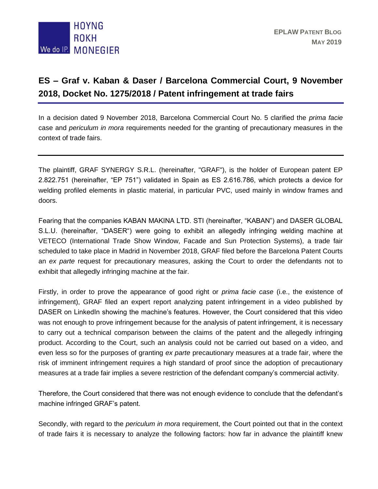

## **ES – Graf v. Kaban & Daser / Barcelona Commercial Court, 9 November 2018, Docket No. 1275/2018 / Patent infringement at trade fairs**

In a decision dated 9 November 2018, Barcelona Commercial Court No. 5 clarified the *prima facie* case and *periculum in mora* requirements needed for the granting of precautionary measures in the context of trade fairs.

The plaintiff, GRAF SYNERGY S.R.L. (hereinafter, "GRAF"), is the holder of European patent EP 2.822.751 (hereinafter, "EP 751") validated in Spain as ES 2.616.786, which protects a device for welding profiled elements in plastic material, in particular PVC, used mainly in window frames and doors.

Fearing that the companies KABAN MAKINA LTD. STI (hereinafter, "KABAN") and DASER GLOBAL S.L.U. (hereinafter, "DASER") were going to exhibit an allegedly infringing welding machine at VETECO (International Trade Show Window, Facade and Sun Protection Systems), a trade fair scheduled to take place in Madrid in November 2018, GRAF filed before the Barcelona Patent Courts an *ex parte* request for precautionary measures, asking the Court to order the defendants not to exhibit that allegedly infringing machine at the fair.

Firstly, in order to prove the appearance of good right or *prima facie case* (i.e., the existence of infringement), GRAF filed an expert report analyzing patent infringement in a video published by DASER on LinkedIn showing the machine's features. However, the Court considered that this video was not enough to prove infringement because for the analysis of patent infringement, it is necessary to carry out a technical comparison between the claims of the patent and the allegedly infringing product. According to the Court, such an analysis could not be carried out based on a video, and even less so for the purposes of granting *ex parte* precautionary measures at a trade fair, where the risk of imminent infringement requires a high standard of proof since the adoption of precautionary measures at a trade fair implies a severe restriction of the defendant company's commercial activity.

Therefore, the Court considered that there was not enough evidence to conclude that the defendant's machine infringed GRAF's patent.

Secondly, with regard to the *periculum in mora* requirement, the Court pointed out that in the context of trade fairs it is necessary to analyze the following factors: how far in advance the plaintiff knew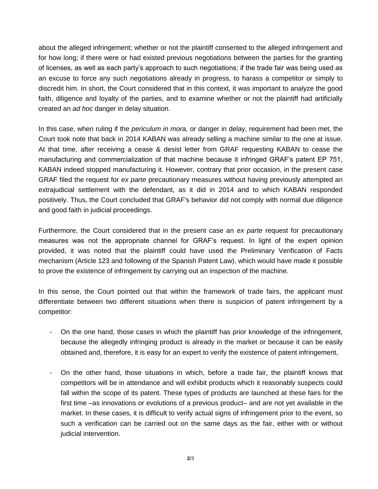about the alleged infringement; whether or not the plaintiff consented to the alleged infringement and for how long; if there were or had existed previous negotiations between the parties for the granting of licenses, as well as each party's approach to such negotiations; if the trade fair was being used as an excuse to force any such negotiations already in progress, to harass a competitor or simply to discredit him. In short, the Court considered that in this context, it was important to analyze the good faith, diligence and loyalty of the parties, and to examine whether or not the plaintiff had artificially created an *ad hoc* danger in delay situation.

In this case, when ruling if the *periculum in mora,* or danger in delay, requirement had been met, the Court took note that back in 2014 KABAN was already selling a machine similar to the one at issue. At that time, after receiving a cease & desist letter from GRAF requesting KABAN to cease the manufacturing and commercialization of that machine because it infringed GRAF's patent EP 751, KABAN indeed stopped manufacturing it. However, contrary that prior occasion, in the present case GRAF filed the request for *ex parte* precautionary measures without having previously attempted an extrajudicial settlement with the defendant, as it did in 2014 and to which KABAN responded positively. Thus, the Court concluded that GRAF's behavior did not comply with normal due diligence and good faith in judicial proceedings.

Furthermore, the Court considered that in the present case an *ex parte* request for precautionary measures was not the appropriate channel for GRAF's request. In light of the expert opinion provided, it was noted that the plaintiff could have used the Preliminary Verification of Facts mechanism (Article 123 and following of the Spanish Patent Law), which would have made it possible to prove the existence of infringement by carrying out an inspection of the machine.

In this sense, the Court pointed out that within the framework of trade fairs, the applicant must differentiate between two different situations when there is suspicion of patent infringement by a competitor:

- On the one hand, those cases in which the plaintiff has prior knowledge of the infringement, because the allegedly infringing product is already in the market or because it can be easily obtained and, therefore, it is easy for an expert to verify the existence of patent infringement,
- On the other hand, those situations in which, before a trade fair, the plaintiff knows that competitors will be in attendance and will exhibit products which it reasonably suspects could fall within the scope of its patent. These types of products are launched at these fairs for the first time –as innovations or evolutions of a previous product– and are not yet available in the market. In these cases, it is difficult to verify actual signs of infringement prior to the event, so such a verification can be carried out on the same days as the fair, either with or without judicial intervention.